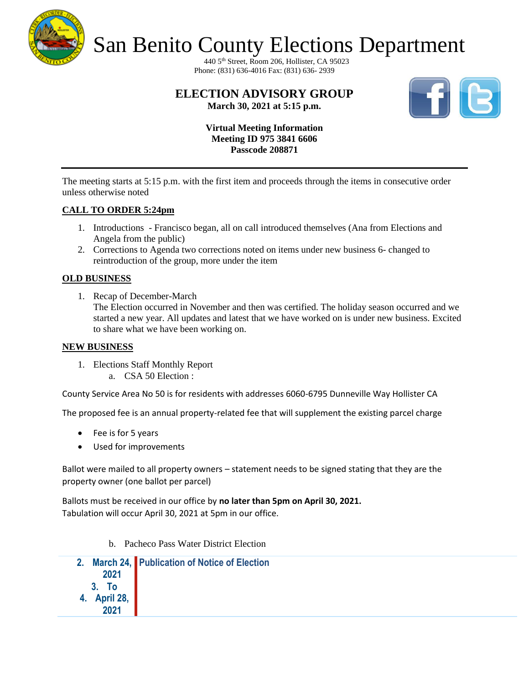

440 5th Street, Room 206, Hollister, CA 95023 Phone: (831) 636-4016 Fax: (831) 636- 2939

# **ELECTION ADVISORY GROUP March 30, 2021 at 5:15 p.m.**



**Virtual Meeting Information Meeting ID 975 3841 6606 Passcode 208871**

The meeting starts at 5:15 p.m. with the first item and proceeds through the items in consecutive order unless otherwise noted

# **CALL TO ORDER 5:24pm**

- 1. Introductions Francisco began, all on call introduced themselves (Ana from Elections and Angela from the public)
- 2. Corrections to Agenda two corrections noted on items under new business 6- changed to reintroduction of the group, more under the item

# **OLD BUSINESS**

1. Recap of December-March

The Election occurred in November and then was certified. The holiday season occurred and we started a new year. All updates and latest that we have worked on is under new business. Excited to share what we have been working on.

#### **NEW BUSINESS**

- 1. Elections Staff Monthly Report
	- a. CSA 50 Election :

County Service Area No 50 is for residents with addresses 6060-6795 Dunneville Way Hollister CA

The proposed fee is an annual property-related fee that will supplement the existing parcel charge

- Fee is for 5 years
- Used for improvements

Ballot were mailed to all property owners – statement needs to be signed stating that they are the property owner (one ballot per parcel)

Ballots must be received in our office by **no later than 5pm on April 30, 2021.** Tabulation will occur April 30, 2021 at 5pm in our office.

b. Pacheco Pass Water District Election

|                               | 2. March 24, Publication of Notice of Election |
|-------------------------------|------------------------------------------------|
| 2021                          |                                                |
|                               |                                                |
| 3. To<br>4. April 28,<br>2021 |                                                |
|                               |                                                |
|                               |                                                |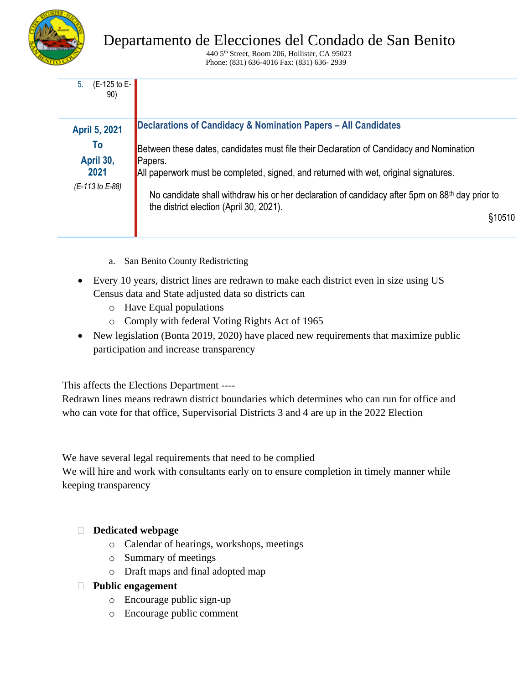

440 5th Street, Room 206, Hollister, CA 95023 Phone: (831) 636-4016 Fax: (831) 636- 2939

| (E-125 to E-<br>5.<br>90) |                                                                                                    |  |  |
|---------------------------|----------------------------------------------------------------------------------------------------|--|--|
| <b>April 5, 2021</b>      | Declarations of Candidacy & Nomination Papers - All Candidates                                     |  |  |
| To<br>April 30,           | Between these dates, candidates must file their Declaration of Candidacy and Nomination<br>Papers. |  |  |
| 2021                      | All paperwork must be completed, signed, and returned with wet, original signatures.               |  |  |
| (E-113 to E-88)           | No candidate shall withdraw his or her declaration of candidacy after 5pm on $88th$ day prior to   |  |  |
|                           | the district election (April 30, 2021).<br>\$10510                                                 |  |  |

- a. San Benito County Redistricting
- Every 10 years, district lines are redrawn to make each district even in size using US Census data and State adjusted data so districts can
	- o Have Equal populations
	- o Comply with federal Voting Rights Act of 1965
- New legislation (Bonta 2019, 2020) have placed new requirements that maximize public participation and increase transparency

This affects the Elections Department ----

Redrawn lines means redrawn district boundaries which determines who can run for office and who can vote for that office, Supervisorial Districts 3 and 4 are up in the 2022 Election

We have several legal requirements that need to be complied

We will hire and work with consultants early on to ensure completion in timely manner while keeping transparency

# **Dedicated webpage**

- o Calendar of hearings, workshops, meetings
- o Summary of meetings
- o Draft maps and final adopted map

# **Public engagement**

- o Encourage public sign-up
- o Encourage public comment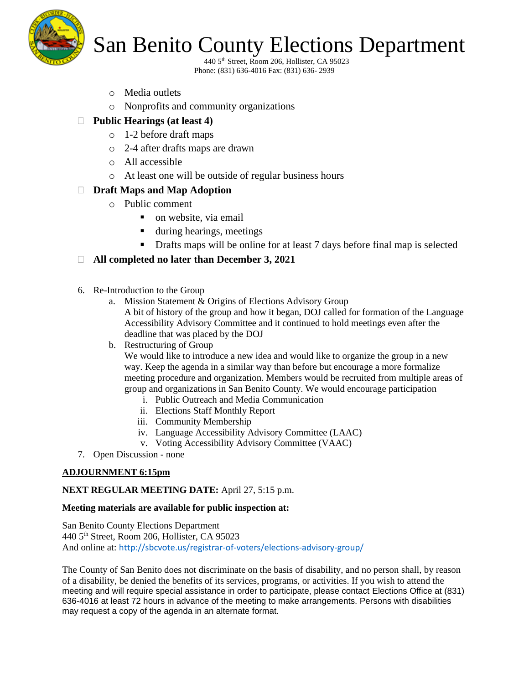

440 5th Street, Room 206, Hollister, CA 95023 Phone: (831) 636-4016 Fax: (831) 636- 2939

- o Media outlets
- o Nonprofits and community organizations
- **Public Hearings (at least 4)**
	- o 1-2 before draft maps
	- o 2-4 after drafts maps are drawn
	- o All accessible
	- o At least one will be outside of regular business hours

# **Draft Maps and Map Adoption**

- o Public comment
	- $\blacksquare$  on website, via email
	- during hearings, meetings
	- Drafts maps will be online for at least 7 days before final map is selected

# **All completed no later than December 3, 2021**

- 6. Re-Introduction to the Group
	- a. Mission Statement & Origins of Elections Advisory Group A bit of history of the group and how it began, DOJ called for formation of the Language Accessibility Advisory Committee and it continued to hold meetings even after the deadline that was placed by the DOJ

#### b. Restructuring of Group

We would like to introduce a new idea and would like to organize the group in a new way. Keep the agenda in a similar way than before but encourage a more formalize meeting procedure and organization. Members would be recruited from multiple areas of group and organizations in San Benito County. We would encourage participation

- i. Public Outreach and Media Communication
- ii. Elections Staff Monthly Report
- iii. Community Membership
- iv. Language Accessibility Advisory Committee (LAAC)
- v. Voting Accessibility Advisory Committee (VAAC)
- 7. Open Discussion none

# **ADJOURNMENT 6:15pm**

# **NEXT REGULAR MEETING DATE:** April 27, 5:15 p.m.

#### **Meeting materials are available for public inspection at:**

San Benito County Elections Department 440 5th Street, Room 206, Hollister, CA 95023 And online at: <http://sbcvote.us/registrar-of-voters/elections-advisory-group/>

The County of San Benito does not discriminate on the basis of disability, and no person shall, by reason of a disability, be denied the benefits of its services, programs, or activities. If you wish to attend the meeting and will require special assistance in order to participate, please contact Elections Office at (831) 636-4016 at least 72 hours in advance of the meeting to make arrangements. Persons with disabilities may request a copy of the agenda in an alternate format.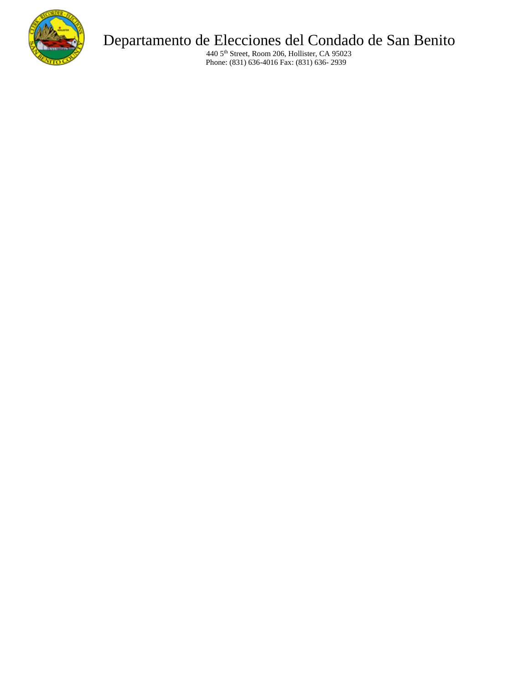

# Departamento de Elecciones del Condado de San Benito

440 5th Street, Room 206, Hollister, CA 95023 Phone: (831) 636-4016 Fax: (831) 636- 2939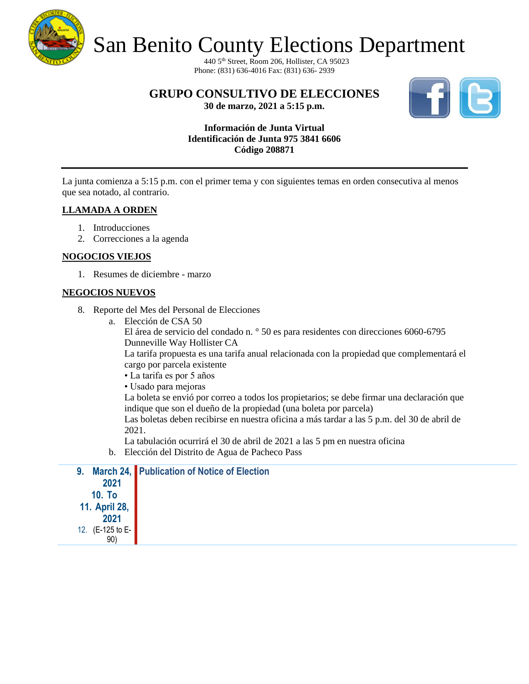

440 5th Street, Room 206, Hollister, CA 95023 Phone: (831) 636-4016 Fax: (831) 636- 2939

**GRUPO CONSULTIVO DE ELECCIONES**



**30 de marzo, 2021 a 5:15 p.m.**

# **Información de Junta Virtual Identificación de Junta 975 3841 6606 Código 208871**

La junta comienza a 5:15 p.m. con el primer tema y con siguientes temas en orden consecutiva al menos que sea notado, al contrario.

# **LLAMADA A ORDEN**

- 1. Introducciones
- 2. Correcciones a la agenda

# **NOGOCIOS VIEJOS**

1. Resumes de diciembre - marzo

# **NEGOCIOS NUEVOS**

- 8. Reporte del Mes del Personal de Elecciones
	- a. Elección de CSA 50

El área de servicio del condado n. ° 50 es para residentes con direcciones 6060-6795 Dunneville Way Hollister CA

La tarifa propuesta es una tarifa anual relacionada con la propiedad que complementará el cargo por parcela existente

- La tarifa es por 5 años
- Usado para mejoras

La boleta se envió por correo a todos los propietarios; se debe firmar una declaración que indique que son el dueño de la propiedad (una boleta por parcela)

Las boletas deben recibirse en nuestra oficina a más tardar a las 5 p.m. del 30 de abril de 2021.

La tabulación ocurrirá el 30 de abril de 2021 a las 5 pm en nuestra oficina

b. Elección del Distrito de Agua de Pacheco Pass

|                  | 9. March 24, Publication of Notice of Election |
|------------------|------------------------------------------------|
| 2021             |                                                |
| <b>10. To</b>    |                                                |
| 11. April 28,    |                                                |
| 2021             |                                                |
| 12. (E-125 to E- |                                                |
| 90)              |                                                |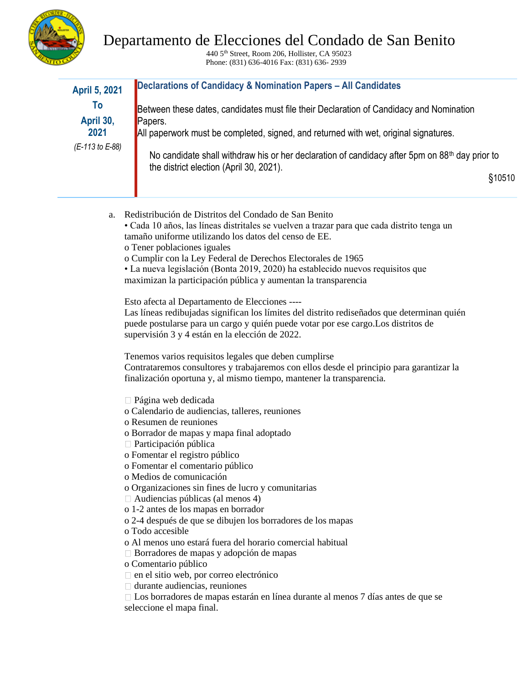

# Departamento de Elecciones del Condado de San Benito

440 5th Street, Room 206, Hollister, CA 95023 Phone: (831) 636-4016 Fax: (831) 636- 2939

| <b>April 5, 2021</b> | Declarations of Candidacy & Nomination Papers - All Candidates                                                                                        |        |
|----------------------|-------------------------------------------------------------------------------------------------------------------------------------------------------|--------|
| To                   | Between these dates, candidates must file their Declaration of Candidacy and Nomination                                                               |        |
| April 30,            | Papers.                                                                                                                                               |        |
| 2021                 | All paperwork must be completed, signed, and returned with wet, original signatures.                                                                  |        |
| (E-113 to E-88)      |                                                                                                                                                       |        |
|                      | No candidate shall withdraw his or her declaration of candidacy after 5pm on 88 <sup>th</sup> day prior to<br>the district election (April 30, 2021). |        |
|                      |                                                                                                                                                       | §10510 |
|                      |                                                                                                                                                       |        |

- a. Redistribución de Distritos del Condado de San Benito • Cada 10 años, las líneas distritales se vuelven a trazar para que cada distrito tenga un tamaño uniforme utilizando los datos del censo de EE. o Tener poblaciones iguales
	- o Cumplir con la Ley Federal de Derechos Electorales de 1965

• La nueva legislación (Bonta 2019, 2020) ha establecido nuevos requisitos que maximizan la participación pública y aumentan la transparencia

Esto afecta al Departamento de Elecciones ----

Las líneas redibujadas significan los límites del distrito rediseñados que determinan quién puede postularse para un cargo y quién puede votar por ese cargo.Los distritos de supervisión 3 y 4 están en la elección de 2022.

Tenemos varios requisitos legales que deben cumplirse

Contrataremos consultores y trabajaremos con ellos desde el principio para garantizar la finalización oportuna y, al mismo tiempo, mantener la transparencia.

Página web dedicada

- o Calendario de audiencias, talleres, reuniones
- o Resumen de reuniones
- o Borrador de mapas y mapa final adoptado
- $\Box$  Participación pública

o Fomentar el registro público

- o Fomentar el comentario público
- o Medios de comunicación
- o Organizaciones sin fines de lucro y comunitarias
- Audiencias públicas (al menos 4)
- o 1-2 antes de los mapas en borrador
- o 2-4 después de que se dibujen los borradores de los mapas

o Todo accesible

o Al menos uno estará fuera del horario comercial habitual

- Borradores de mapas y adopción de mapas
- o Comentario público
- $\Box$  en el sitio web, por correo electrónico

durante audiencias, reuniones

Los borradores de mapas estarán en línea durante al menos 7 días antes de que se seleccione el mapa final.